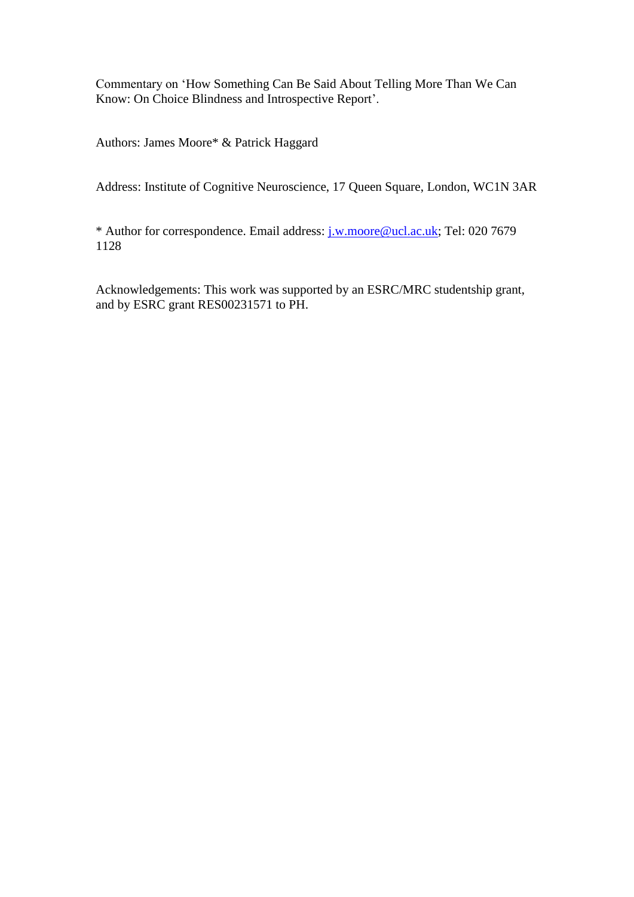Commentary on 'How Something Can Be Said About Telling More Than We Can Know: On Choice Blindness and Introspective Report'.

Authors: James Moore\* & Patrick Haggard

Address: Institute of Cognitive Neuroscience, 17 Queen Square, London, WC1N 3AR

\* Author for correspondence. Email address: [j.w.moore@ucl.ac.uk;](mailto:j.w.moore@ucl.ac.uk) Tel: 020 7679 1128

Acknowledgements: This work was supported by an ESRC/MRC studentship grant, and by ESRC grant RES00231571 to PH.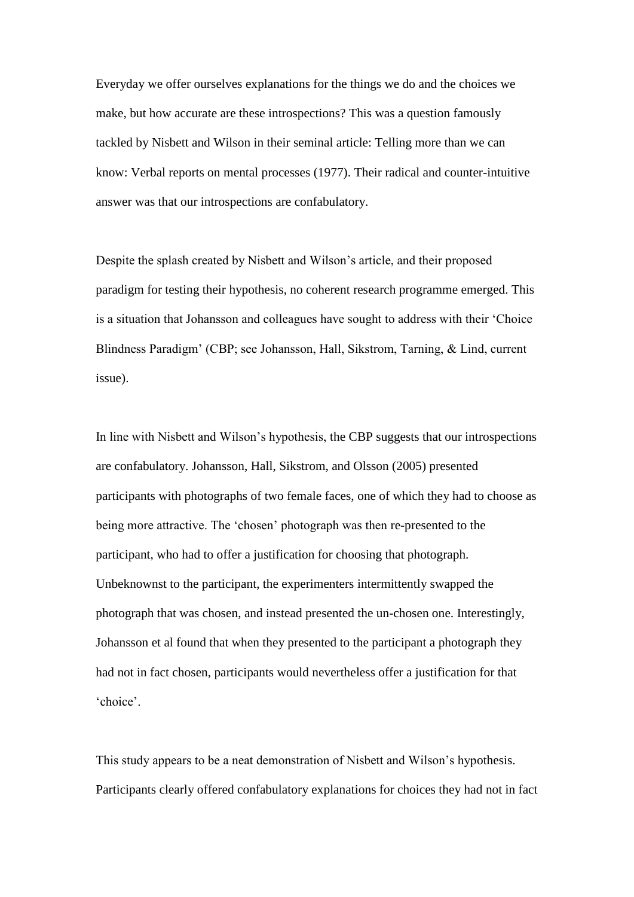Everyday we offer ourselves explanations for the things we do and the choices we make, but how accurate are these introspections? This was a question famously tackled by Nisbett and Wilson in their seminal article: Telling more than we can know: Verbal reports on mental processes (1977). Their radical and counter-intuitive answer was that our introspections are confabulatory.

Despite the splash created by Nisbett and Wilson's article, and their proposed paradigm for testing their hypothesis, no coherent research programme emerged. This is a situation that Johansson and colleagues have sought to address with their 'Choice Blindness Paradigm' (CBP; see Johansson, Hall, Sikstrom, Tarning, & Lind, current issue).

In line with Nisbett and Wilson's hypothesis, the CBP suggests that our introspections are confabulatory. Johansson, Hall, Sikstrom, and Olsson (2005) presented participants with photographs of two female faces, one of which they had to choose as being more attractive. The 'chosen' photograph was then re-presented to the participant, who had to offer a justification for choosing that photograph. Unbeknownst to the participant, the experimenters intermittently swapped the photograph that was chosen, and instead presented the un-chosen one. Interestingly, Johansson et al found that when they presented to the participant a photograph they had not in fact chosen, participants would nevertheless offer a justification for that 'choice'.

This study appears to be a neat demonstration of Nisbett and Wilson's hypothesis. Participants clearly offered confabulatory explanations for choices they had not in fact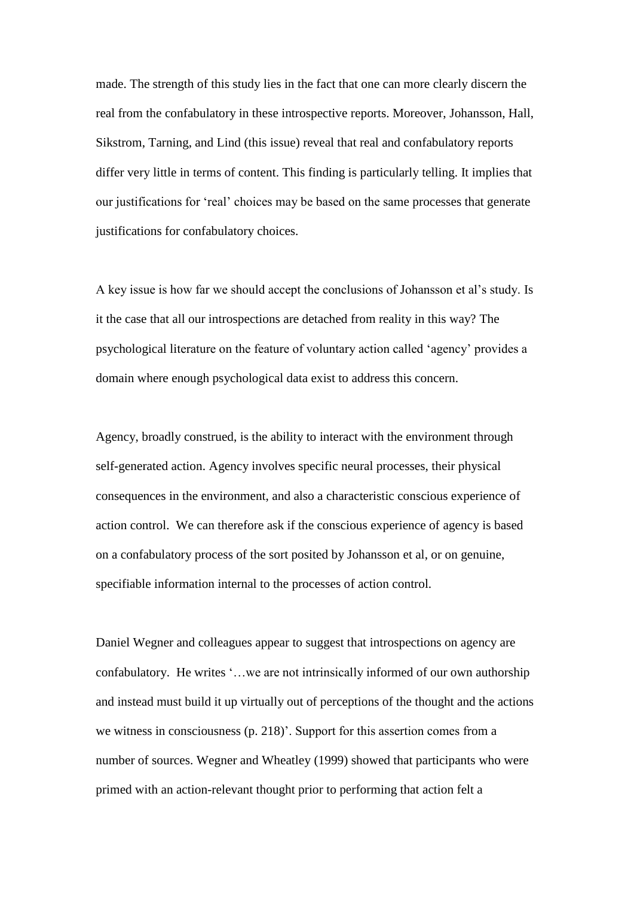made. The strength of this study lies in the fact that one can more clearly discern the real from the confabulatory in these introspective reports. Moreover, Johansson, Hall, Sikstrom, Tarning, and Lind (this issue) reveal that real and confabulatory reports differ very little in terms of content. This finding is particularly telling. It implies that our justifications for 'real' choices may be based on the same processes that generate justifications for confabulatory choices.

A key issue is how far we should accept the conclusions of Johansson et al's study. Is it the case that all our introspections are detached from reality in this way? The psychological literature on the feature of voluntary action called 'agency' provides a domain where enough psychological data exist to address this concern.

Agency, broadly construed, is the ability to interact with the environment through self-generated action. Agency involves specific neural processes, their physical consequences in the environment, and also a characteristic conscious experience of action control. We can therefore ask if the conscious experience of agency is based on a confabulatory process of the sort posited by Johansson et al, or on genuine, specifiable information internal to the processes of action control.

Daniel Wegner and colleagues appear to suggest that introspections on agency are confabulatory. He writes '…we are not intrinsically informed of our own authorship and instead must build it up virtually out of perceptions of the thought and the actions we witness in consciousness (p. 218)'. Support for this assertion comes from a number of sources. Wegner and Wheatley (1999) showed that participants who were primed with an action-relevant thought prior to performing that action felt a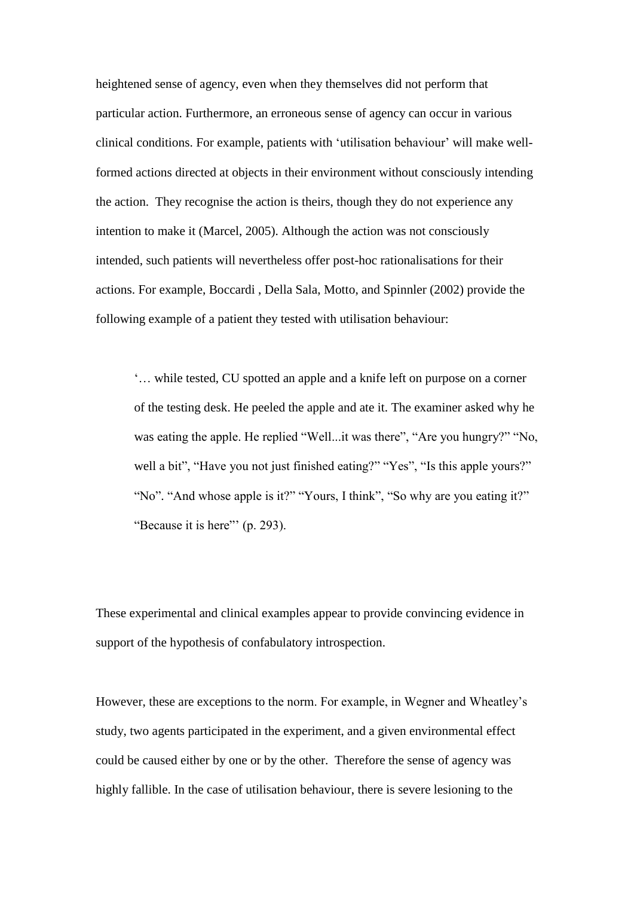heightened sense of agency, even when they themselves did not perform that particular action. Furthermore, an erroneous sense of agency can occur in various clinical conditions. For example, patients with 'utilisation behaviour' will make wellformed actions directed at objects in their environment without consciously intending the action. They recognise the action is theirs, though they do not experience any intention to make it (Marcel, 2005). Although the action was not consciously intended, such patients will nevertheless offer post-hoc rationalisations for their actions. For example, Boccardi , Della Sala, Motto, and Spinnler (2002) provide the following example of a patient they tested with utilisation behaviour:

'… while tested, CU spotted an apple and a knife left on purpose on a corner of the testing desk. He peeled the apple and ate it. The examiner asked why he was eating the apple. He replied "Well...it was there", "Are you hungry?" "No, well a bit", "Have you not just finished eating?" "Yes", "Is this apple yours?" "No". "And whose apple is it?" "Yours, I think", "So why are you eating it?" "Because it is here" (p. 293).

These experimental and clinical examples appear to provide convincing evidence in support of the hypothesis of confabulatory introspection.

However, these are exceptions to the norm. For example, in Wegner and Wheatley's study, two agents participated in the experiment, and a given environmental effect could be caused either by one or by the other. Therefore the sense of agency was highly fallible. In the case of utilisation behaviour, there is severe lesioning to the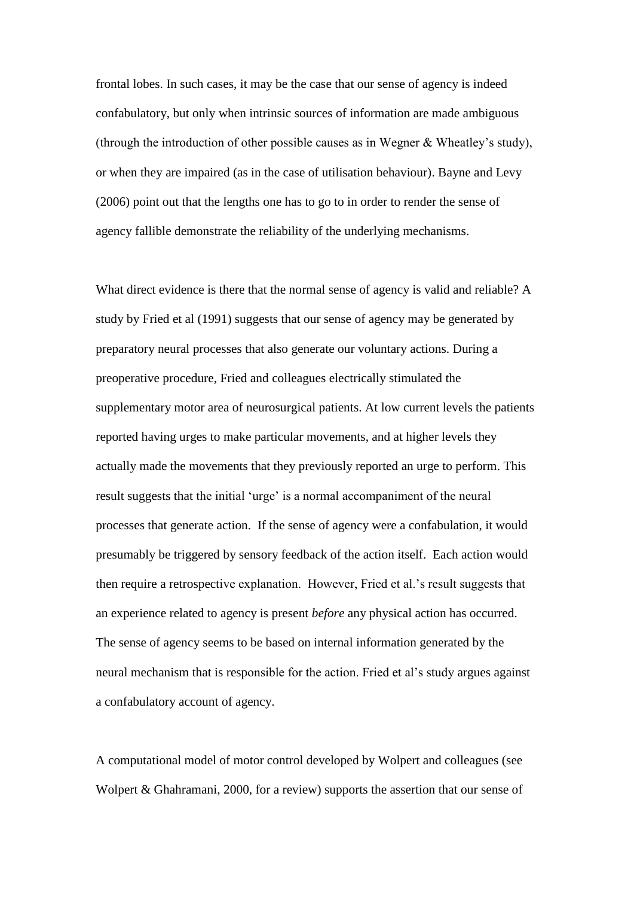frontal lobes. In such cases, it may be the case that our sense of agency is indeed confabulatory, but only when intrinsic sources of information are made ambiguous (through the introduction of other possible causes as in Wegner & Wheatley's study), or when they are impaired (as in the case of utilisation behaviour). Bayne and Levy (2006) point out that the lengths one has to go to in order to render the sense of agency fallible demonstrate the reliability of the underlying mechanisms.

What direct evidence is there that the normal sense of agency is valid and reliable? A study by Fried et al (1991) suggests that our sense of agency may be generated by preparatory neural processes that also generate our voluntary actions. During a preoperative procedure, Fried and colleagues electrically stimulated the supplementary motor area of neurosurgical patients. At low current levels the patients reported having urges to make particular movements, and at higher levels they actually made the movements that they previously reported an urge to perform. This result suggests that the initial 'urge' is a normal accompaniment of the neural processes that generate action. If the sense of agency were a confabulation, it would presumably be triggered by sensory feedback of the action itself. Each action would then require a retrospective explanation. However, Fried et al.'s result suggests that an experience related to agency is present *before* any physical action has occurred. The sense of agency seems to be based on internal information generated by the neural mechanism that is responsible for the action. Fried et al's study argues against a confabulatory account of agency.

A computational model of motor control developed by Wolpert and colleagues (see Wolpert & Ghahramani, 2000, for a review) supports the assertion that our sense of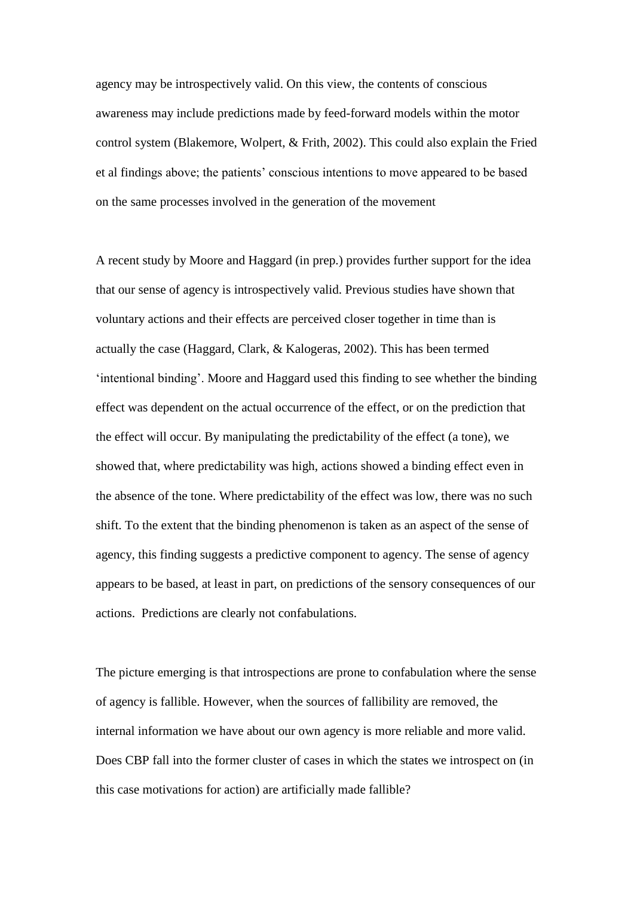agency may be introspectively valid. On this view, the contents of conscious awareness may include predictions made by feed-forward models within the motor control system (Blakemore, Wolpert, & Frith, 2002). This could also explain the Fried et al findings above; the patients' conscious intentions to move appeared to be based on the same processes involved in the generation of the movement

A recent study by Moore and Haggard (in prep.) provides further support for the idea that our sense of agency is introspectively valid. Previous studies have shown that voluntary actions and their effects are perceived closer together in time than is actually the case (Haggard, Clark, & Kalogeras, 2002). This has been termed 'intentional binding'. Moore and Haggard used this finding to see whether the binding effect was dependent on the actual occurrence of the effect, or on the prediction that the effect will occur. By manipulating the predictability of the effect (a tone), we showed that, where predictability was high, actions showed a binding effect even in the absence of the tone. Where predictability of the effect was low, there was no such shift. To the extent that the binding phenomenon is taken as an aspect of the sense of agency, this finding suggests a predictive component to agency. The sense of agency appears to be based, at least in part, on predictions of the sensory consequences of our actions. Predictions are clearly not confabulations.

The picture emerging is that introspections are prone to confabulation where the sense of agency is fallible. However, when the sources of fallibility are removed, the internal information we have about our own agency is more reliable and more valid. Does CBP fall into the former cluster of cases in which the states we introspect on (in this case motivations for action) are artificially made fallible?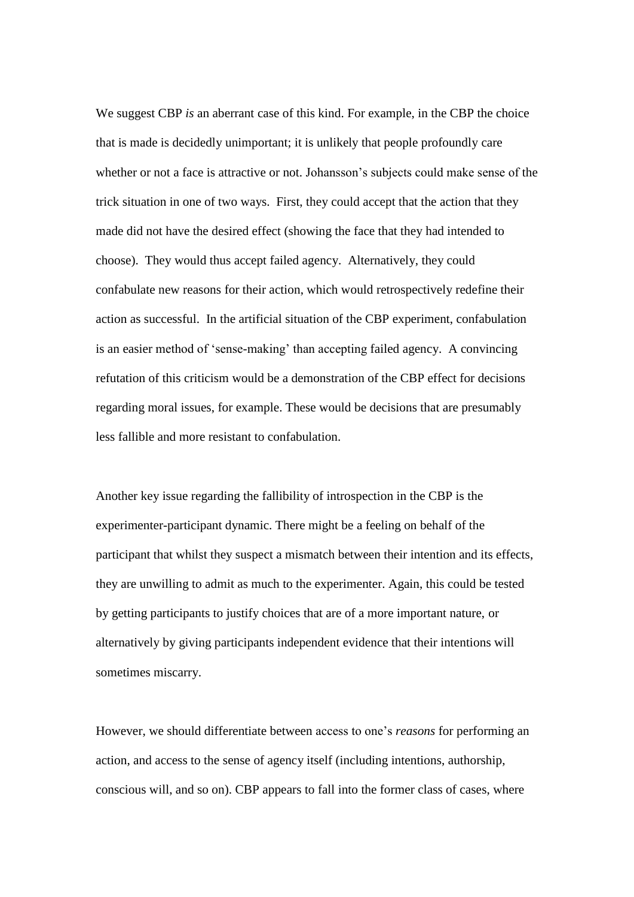We suggest CBP *is* an aberrant case of this kind. For example, in the CBP the choice that is made is decidedly unimportant; it is unlikely that people profoundly care whether or not a face is attractive or not. Johansson's subjects could make sense of the trick situation in one of two ways. First, they could accept that the action that they made did not have the desired effect (showing the face that they had intended to choose). They would thus accept failed agency. Alternatively, they could confabulate new reasons for their action, which would retrospectively redefine their action as successful. In the artificial situation of the CBP experiment, confabulation is an easier method of 'sense-making' than accepting failed agency. A convincing refutation of this criticism would be a demonstration of the CBP effect for decisions regarding moral issues, for example. These would be decisions that are presumably less fallible and more resistant to confabulation.

Another key issue regarding the fallibility of introspection in the CBP is the experimenter-participant dynamic. There might be a feeling on behalf of the participant that whilst they suspect a mismatch between their intention and its effects, they are unwilling to admit as much to the experimenter. Again, this could be tested by getting participants to justify choices that are of a more important nature, or alternatively by giving participants independent evidence that their intentions will sometimes miscarry.

However, we should differentiate between access to one's *reasons* for performing an action, and access to the sense of agency itself (including intentions, authorship, conscious will, and so on). CBP appears to fall into the former class of cases, where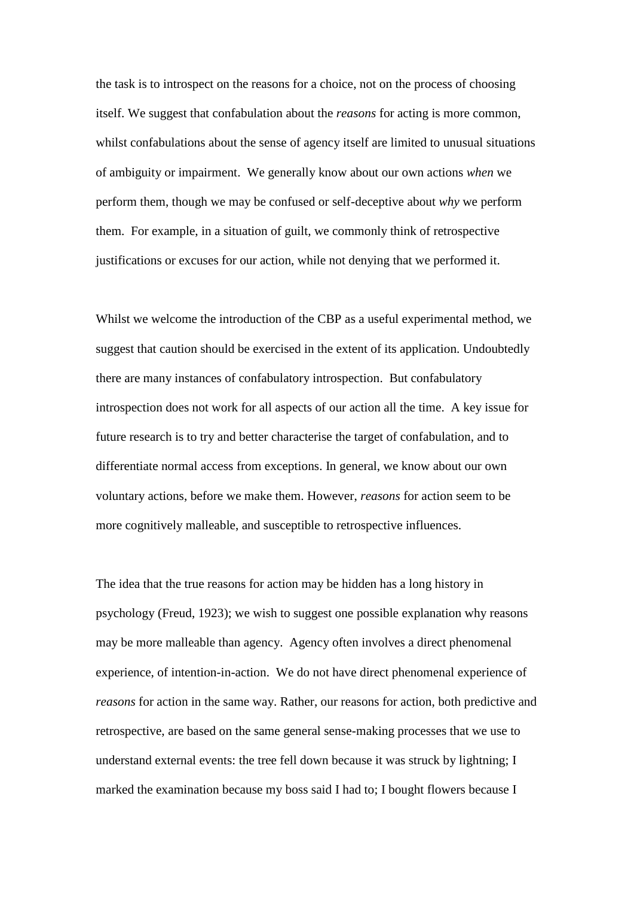the task is to introspect on the reasons for a choice, not on the process of choosing itself. We suggest that confabulation about the *reasons* for acting is more common, whilst confabulations about the sense of agency itself are limited to unusual situations of ambiguity or impairment. We generally know about our own actions *when* we perform them, though we may be confused or self-deceptive about *why* we perform them. For example, in a situation of guilt, we commonly think of retrospective justifications or excuses for our action, while not denying that we performed it.

Whilst we welcome the introduction of the CBP as a useful experimental method, we suggest that caution should be exercised in the extent of its application. Undoubtedly there are many instances of confabulatory introspection. But confabulatory introspection does not work for all aspects of our action all the time. A key issue for future research is to try and better characterise the target of confabulation, and to differentiate normal access from exceptions. In general, we know about our own voluntary actions, before we make them. However, *reasons* for action seem to be more cognitively malleable, and susceptible to retrospective influences.

The idea that the true reasons for action may be hidden has a long history in psychology (Freud, 1923); we wish to suggest one possible explanation why reasons may be more malleable than agency. Agency often involves a direct phenomenal experience, of intention-in-action. We do not have direct phenomenal experience of *reasons* for action in the same way. Rather, our reasons for action, both predictive and retrospective, are based on the same general sense-making processes that we use to understand external events: the tree fell down because it was struck by lightning; I marked the examination because my boss said I had to; I bought flowers because I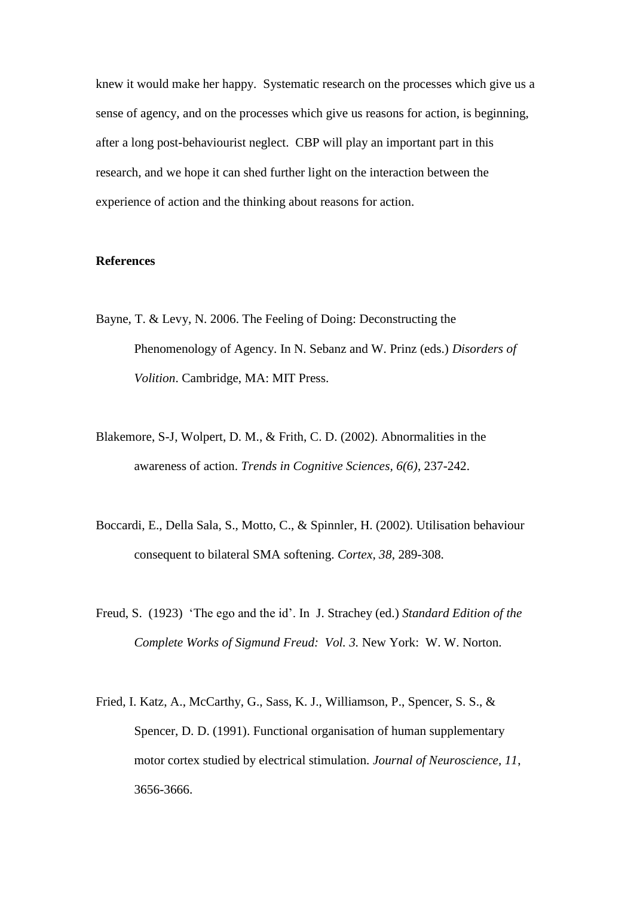knew it would make her happy. Systematic research on the processes which give us a sense of agency, and on the processes which give us reasons for action, is beginning, after a long post-behaviourist neglect. CBP will play an important part in this research, and we hope it can shed further light on the interaction between the experience of action and the thinking about reasons for action.

## **References**

- Bayne, T. & Levy, N. 2006. The Feeling of Doing: Deconstructing the Phenomenology of Agency. In N. Sebanz and W. Prinz (eds.) *Disorders of Volition*. Cambridge, MA: MIT Press.
- Blakemore, S-J, Wolpert, D. M., & Frith, C. D. (2002). Abnormalities in the awareness of action. *Trends in Cognitive Sciences, 6(6)*, 237-242.
- Boccardi, E., Della Sala, S., Motto, C., & Spinnler, H. (2002). Utilisation behaviour consequent to bilateral SMA softening. *Cortex, 38*, 289-308.
- Freud, S. (1923) 'The ego and the id'. In J. Strachey (ed.) *Standard Edition of the Complete Works of Sigmund Freud: Vol. 3.* New York: W. W. Norton.
- Fried, I. Katz, A., McCarthy, G., Sass, K. J., Williamson, P., Spencer, S. S., & Spencer, D. D. (1991). Functional organisation of human supplementary motor cortex studied by electrical stimulation. *Journal of Neuroscience, 11*, 3656-3666.